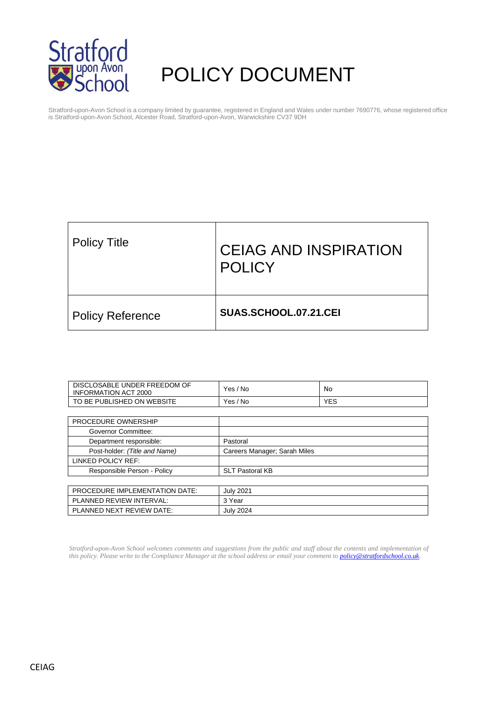

# POLICY DOCUMENT

Stratford-upon-Avon School is a company limited by guarantee, registered in England and Wales under number 7690776, whose registered office is Stratford-upon-Avon School, Alcester Road, Stratford-upon-Avon, Warwickshire CV37 9DH

| <b>Policy Title</b>     | <b>CEIAG AND INSPIRATION</b><br><b>POLICY</b> |
|-------------------------|-----------------------------------------------|
| <b>Policy Reference</b> | SUAS.SCHOOL.07.21.CEI                         |

| DISCLOSABLE UNDER FREEDOM OF<br><b>INFORMATION ACT 2000</b> | Yes / No                     | No         |
|-------------------------------------------------------------|------------------------------|------------|
| TO BE PUBLISHED ON WEBSITE                                  | Yes / No                     | <b>YES</b> |
|                                                             |                              |            |
| PROCEDURE OWNERSHIP                                         |                              |            |
| Governor Committee:                                         |                              |            |
| Department responsible:                                     | Pastoral                     |            |
| Post-holder: (Title and Name)                               | Careers Manager; Sarah Miles |            |
| LINKED POLICY REF:                                          |                              |            |
| Responsible Person - Policy                                 | <b>SLT Pastoral KB</b>       |            |
|                                                             |                              |            |
| <b>PROCEDURE IMPLEMENTATION DATE:</b>                       | <b>July 2021</b>             |            |
| PLANNED REVIEW INTERVAL:                                    | 3 Year                       |            |
| PLANNED NEXT REVIEW DATE:                                   | <b>July 2024</b>             |            |

*Stratford-upon-Avon School welcomes comments and suggestions from the public and staff about the contents and implementation of this policy. Please write to the Compliance Manager at the school address or email your comment to [policy@stratfordschool.co.uk.](mailto:policy@stratfordschool.co.uk)*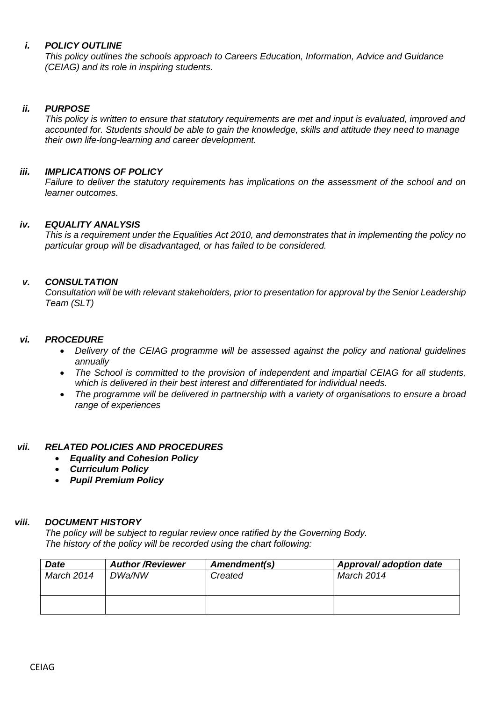# *i. POLICY OUTLINE*

*This policy outlines the schools approach to Careers Education, Information, Advice and Guidance (CEIAG) and its role in inspiring students.*

# *ii. PURPOSE*

*This policy is written to ensure that statutory requirements are met and input is evaluated, improved and accounted for. Students should be able to gain the knowledge, skills and attitude they need to manage their own life-long-learning and career development.* 

# *iii. IMPLICATIONS OF POLICY*

*Failure to deliver the statutory requirements has implications on the assessment of the school and on learner outcomes.*

# *iv. EQUALITY ANALYSIS*

*This is a requirement under the Equalities Act 2010, and demonstrates that in implementing the policy no particular group will be disadvantaged, or has failed to be considered.* 

# *v. CONSULTATION*

*Consultation will be with relevant stakeholders, prior to presentation for approval by the Senior Leadership Team (SLT)*

# *vi. PROCEDURE*

- *Delivery of the CEIAG programme will be assessed against the policy and national guidelines annually*
- *The School is committed to the provision of independent and impartial CEIAG for all students, which is delivered in their best interest and differentiated for individual needs.*
- *The programme will be delivered in partnership with a variety of organisations to ensure a broad range of experiences*

# *vii. RELATED POLICIES AND PROCEDURES*

- *Equality and Cohesion Policy*
- *Curriculum Policy*
- *Pupil Premium Policy*

# *viii. DOCUMENT HISTORY*

*The policy will be subject to regular review once ratified by the Governing Body. The history of the policy will be recorded using the chart following:*

| <b>Date</b> | <b>Author/Reviewer</b> | Amendment(s) | Approval/ adoption date |
|-------------|------------------------|--------------|-------------------------|
| March 2014  | DWa/NW                 | Created      | March 2014              |
|             |                        |              |                         |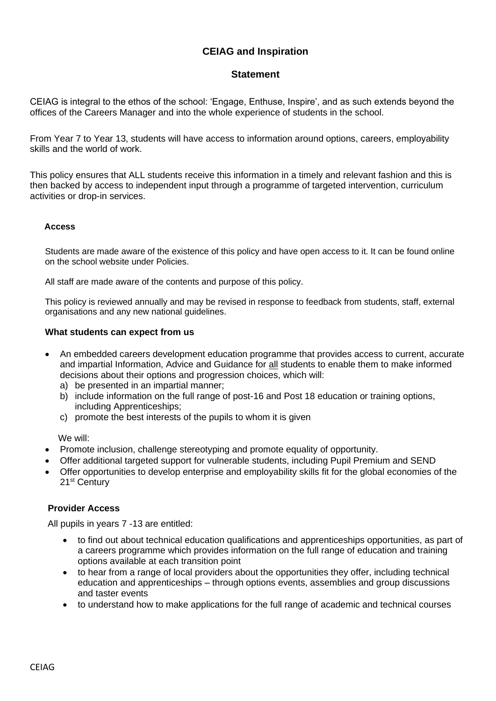# **CEIAG and Inspiration**

# **Statement**

CEIAG is integral to the ethos of the school: 'Engage, Enthuse, Inspire', and as such extends beyond the offices of the Careers Manager and into the whole experience of students in the school.

From Year 7 to Year 13, students will have access to information around options, careers, employability skills and the world of work.

This policy ensures that ALL students receive this information in a timely and relevant fashion and this is then backed by access to independent input through a programme of targeted intervention, curriculum activities or drop-in services.

## **Access**

Students are made aware of the existence of this policy and have open access to it. It can be found online on the school website under Policies.

All staff are made aware of the contents and purpose of this policy.

This policy is reviewed annually and may be revised in response to feedback from students, staff, external organisations and any new national guidelines.

### **What students can expect from us**

- An embedded careers development education programme that provides access to current, accurate and impartial Information, Advice and Guidance for all students to enable them to make informed decisions about their options and progression choices, which will:
	- a) be presented in an impartial manner;
	- b) include information on the full range of post-16 and Post 18 education or training options, including Apprenticeships;
	- c) promote the best interests of the pupils to whom it is given

We will:

- Promote inclusion, challenge stereotyping and promote equality of opportunity.
- Offer additional targeted support for vulnerable students, including Pupil Premium and SEND
- Offer opportunities to develop enterprise and employability skills fit for the global economies of the 21<sup>st</sup> Century

### **Provider Access**

All pupils in years 7 -13 are entitled:

- to find out about technical education qualifications and apprenticeships opportunities, as part of a careers programme which provides information on the full range of education and training options available at each transition point
- to hear from a range of local providers about the opportunities they offer, including technical education and apprenticeships – through options events, assemblies and group discussions and taster events
- to understand how to make applications for the full range of academic and technical courses